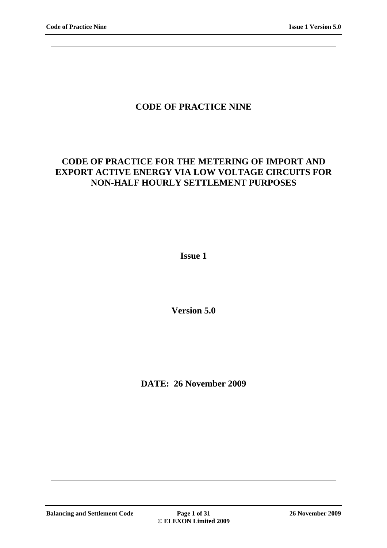| <b>CODE OF PRACTICE NINE</b>                                                                                                                              |
|-----------------------------------------------------------------------------------------------------------------------------------------------------------|
| <b>CODE OF PRACTICE FOR THE METERING OF IMPORT AND</b><br><b>EXPORT ACTIVE ENERGY VIA LOW VOLTAGE CIRCUITS FOR</b><br>NON-HALF HOURLY SETTLEMENT PURPOSES |
| <b>Issue 1</b>                                                                                                                                            |
| <b>Version 5.0</b>                                                                                                                                        |
| DATE: 26 November 2009                                                                                                                                    |
|                                                                                                                                                           |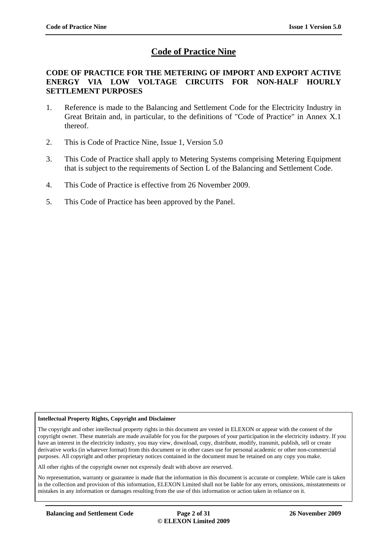## **Code of Practice Nine**

### **CODE OF PRACTICE FOR THE METERING OF IMPORT AND EXPORT ACTIVE ENERGY VIA LOW VOLTAGE CIRCUITS FOR NON-HALF HOURLY SETTLEMENT PURPOSES**

- 1. Reference is made to the Balancing and Settlement Code for the Electricity Industry in Great Britain and, in particular, to the definitions of "Code of Practice" in Annex X.1 thereof.
- 2. This is Code of Practice Nine, Issue 1, Version 5.0
- 3. This Code of Practice shall apply to Metering Systems comprising Metering Equipment that is subject to the requirements of Section L of the Balancing and Settlement Code.
- 4. This Code of Practice is effective from 26 November 2009.
- 5. This Code of Practice has been approved by the Panel.

#### **Intellectual Property Rights, Copyright and Disclaimer**

The copyright and other intellectual property rights in this document are vested in ELEXON or appear with the consent of the copyright owner. These materials are made available for you for the purposes of your participation in the electricity industry. If you have an interest in the electricity industry, you may view, download, copy, distribute, modify, transmit, publish, sell or create derivative works (in whatever format) from this document or in other cases use for personal academic or other non-commercial purposes. All copyright and other proprietary notices contained in the document must be retained on any copy you make.

All other rights of the copyright owner not expressly dealt with above are reserved.

No representation, warranty or guarantee is made that the information in this document is accurate or complete. While care is taken in the collection and provision of this information, ELEXON Limited shall not be liable for any errors, omissions, misstatements or mistakes in any information or damages resulting from the use of this information or action taken in reliance on it.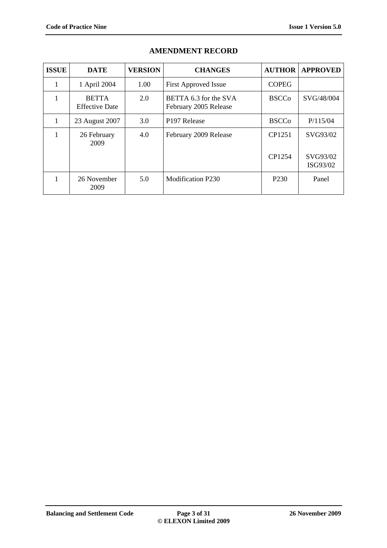| <b>ISSUE</b> | <b>DATE</b>                           | <b>VERSION</b> | <b>CHANGES</b>                                 | <b>AUTHOR</b>    | <b>APPROVED</b>      |
|--------------|---------------------------------------|----------------|------------------------------------------------|------------------|----------------------|
| 1            | 1 April 2004                          | 1.00           | <b>First Approved Issue</b>                    | <b>COPEG</b>     |                      |
|              | <b>BETTA</b><br><b>Effective Date</b> | 2.0            | BETTA 6.3 for the SVA<br>February 2005 Release | <b>BSCCo</b>     | SVG/48/004           |
| л.           | 23 August 2007                        | 3.0            | P <sub>197</sub> Release                       | <b>BSCCo</b>     | P/115/04             |
|              | 26 February<br>2009                   | 4.0            | February 2009 Release                          | CP1251           | SVG93/02             |
|              |                                       |                |                                                | CP1254           | SVG93/02<br>ISG93/02 |
|              | 26 November<br>2009                   | 5.0            | <b>Modification P230</b>                       | P <sub>230</sub> | Panel                |

### **AMENDMENT RECORD**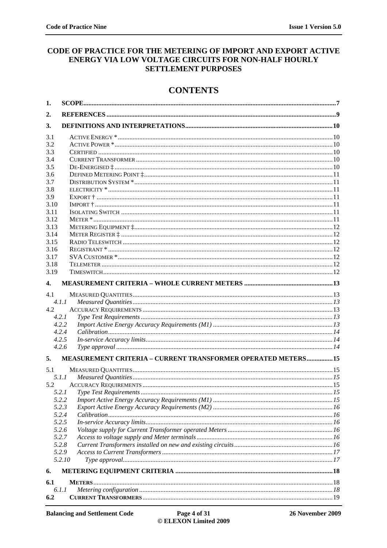### CODE OF PRACTICE FOR THE METERING OF IMPORT AND EXPORT ACTIVE ENERGY VIA LOW VOLTAGE CIRCUITS FOR NON-HALF HOURLY **SETTLEMENT PURPOSES**

## **CONTENTS**

| 1.   |                                                               |  |
|------|---------------------------------------------------------------|--|
| 2.   |                                                               |  |
| 3.   |                                                               |  |
| 3.1  |                                                               |  |
| 3.2  |                                                               |  |
| 3.3  |                                                               |  |
| 3.4  |                                                               |  |
| 3.5  |                                                               |  |
| 3.6  |                                                               |  |
| 3.7  |                                                               |  |
| 3.8  |                                                               |  |
| 3.9  |                                                               |  |
| 3.10 |                                                               |  |
| 3.11 |                                                               |  |
| 3.12 |                                                               |  |
| 3.13 |                                                               |  |
| 3.14 |                                                               |  |
| 3.15 |                                                               |  |
| 3.16 |                                                               |  |
| 3.17 |                                                               |  |
| 3.18 |                                                               |  |
| 3.19 |                                                               |  |
| 4.   |                                                               |  |
| 4.1  |                                                               |  |
|      | 4.1.1                                                         |  |
| 4.2  |                                                               |  |
|      | 4.2.1                                                         |  |
|      | 4.2.2                                                         |  |
|      | 4.2.4                                                         |  |
|      | 4.2.5                                                         |  |
|      | 4.2.6                                                         |  |
| 5.   | MEASUREMENT CRITERIA - CURRENT TRANSFORMER OPERATED METERS 15 |  |
| 5.1  |                                                               |  |
|      | 5.1.1                                                         |  |
| 5.2  |                                                               |  |
|      |                                                               |  |
|      | 5.2.2                                                         |  |
|      | 5.2.3                                                         |  |
|      | 5.2.4                                                         |  |
|      | 5.2.5                                                         |  |
|      | 5.2.6                                                         |  |
|      | 5.2.7                                                         |  |
|      | 5.2.8                                                         |  |
|      | 5.2.9                                                         |  |
|      | 5.2.10                                                        |  |
| 6.   |                                                               |  |
| 6.1  |                                                               |  |
|      | 6.1.1                                                         |  |
| 6.2  |                                                               |  |
|      |                                                               |  |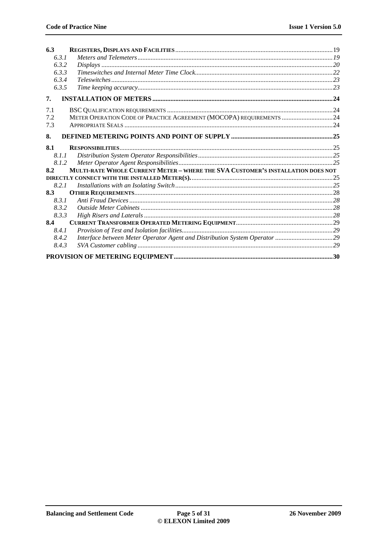| 6.3   |                                                                                 |  |
|-------|---------------------------------------------------------------------------------|--|
| 6.3.1 |                                                                                 |  |
| 6.3.2 |                                                                                 |  |
| 6.3.3 |                                                                                 |  |
| 6.3.4 |                                                                                 |  |
| 6.3.5 |                                                                                 |  |
| 7.    |                                                                                 |  |
| 7.1   |                                                                                 |  |
| 7.2   | METER OPERATION CODE OF PRACTICE AGREEMENT (MOCOPA) REQUIREMENTS  24            |  |
| 7.3   |                                                                                 |  |
| 8.    |                                                                                 |  |
| 8.1   |                                                                                 |  |
| 8.1.1 |                                                                                 |  |
| 8.1.2 |                                                                                 |  |
| 8.2   | MULTI-RATE WHOLE CURRENT METER - WHERE THE SVA CUSTOMER'S INSTALLATION DOES NOT |  |
|       |                                                                                 |  |
| 8.2.1 |                                                                                 |  |
| 8.3   |                                                                                 |  |
| 8.3.1 |                                                                                 |  |
| 8.3.2 |                                                                                 |  |
| 8.3.3 |                                                                                 |  |
| 8.4   |                                                                                 |  |
| 8.4.1 |                                                                                 |  |
| 8.4.2 | Interface between Meter Operator Agent and Distribution System Operator 29      |  |
| 8.4.3 |                                                                                 |  |
|       |                                                                                 |  |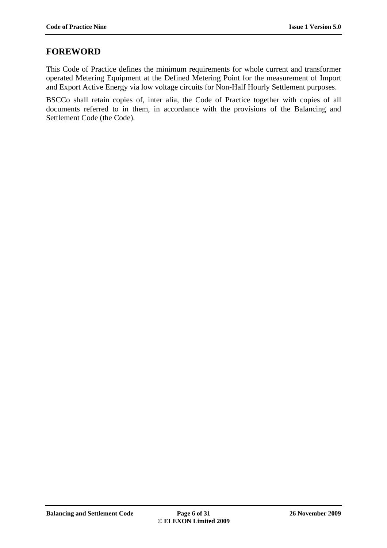## **FOREWORD**

This Code of Practice defines the minimum requirements for whole current and transformer operated Metering Equipment at the Defined Metering Point for the measurement of Import and Export Active Energy via low voltage circuits for Non-Half Hourly Settlement purposes.

BSCCo shall retain copies of, inter alia, the Code of Practice together with copies of all documents referred to in them, in accordance with the provisions of the Balancing and Settlement Code (the Code).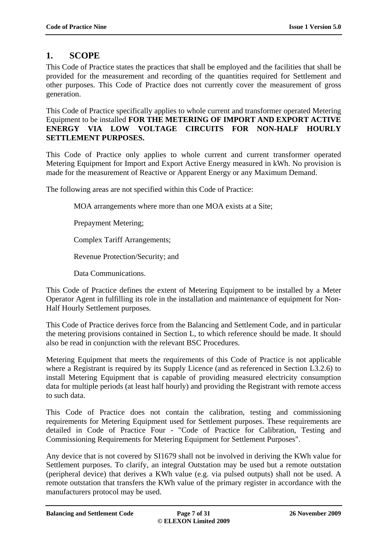# **1. SCOPE**

This Code of Practice states the practices that shall be employed and the facilities that shall be provided for the measurement and recording of the quantities required for Settlement and other purposes. This Code of Practice does not currently cover the measurement of gross generation.

This Code of Practice specifically applies to whole current and transformer operated Metering Equipment to be installed **FOR THE METERING OF IMPORT AND EXPORT ACTIVE ENERGY VIA LOW VOLTAGE CIRCUITS FOR NON-HALF HOURLY SETTLEMENT PURPOSES.**

This Code of Practice only applies to whole current and current transformer operated Metering Equipment for Import and Export Active Energy measured in kWh. No provision is made for the measurement of Reactive or Apparent Energy or any Maximum Demand.

The following areas are not specified within this Code of Practice:

MOA arrangements where more than one MOA exists at a Site;

Prepayment Metering;

Complex Tariff Arrangements;

Revenue Protection/Security; and

Data Communications.

This Code of Practice defines the extent of Metering Equipment to be installed by a Meter Operator Agent in fulfilling its role in the installation and maintenance of equipment for Non-Half Hourly Settlement purposes.

This Code of Practice derives force from the Balancing and Settlement Code, and in particular the metering provisions contained in Section L, to which reference should be made. It should also be read in conjunction with the relevant BSC Procedures.

Metering Equipment that meets the requirements of this Code of Practice is not applicable where a Registrant is required by its Supply Licence (and as referenced in Section L3.2.6) to install Metering Equipment that is capable of providing measured electricity consumption data for multiple periods (at least half hourly) and providing the Registrant with remote access to such data.

This Code of Practice does not contain the calibration, testing and commissioning requirements for Metering Equipment used for Settlement purposes. These requirements are detailed in Code of Practice Four - "Code of Practice for Calibration, Testing and Commissioning Requirements for Metering Equipment for Settlement Purposes".

Any device that is not covered by SI1679 shall not be involved in deriving the KWh value for Settlement purposes. To clarify, an integral Outstation may be used but a remote outstation (peripheral device) that derives a KWh value (e.g. via pulsed outputs) shall not be used. A remote outstation that transfers the KWh value of the primary register in accordance with the manufacturers protocol may be used.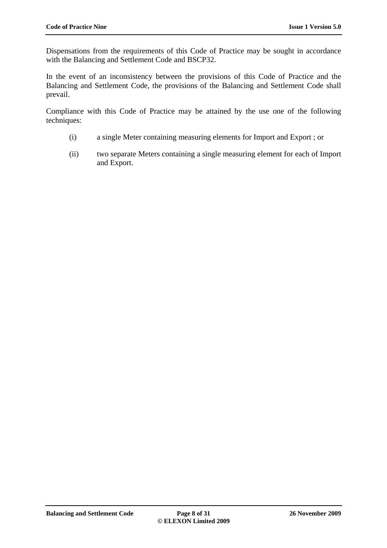Dispensations from the requirements of this Code of Practice may be sought in accordance with the Balancing and Settlement Code and BSCP32.

In the event of an inconsistency between the provisions of this Code of Practice and the Balancing and Settlement Code, the provisions of the Balancing and Settlement Code shall prevail.

Compliance with this Code of Practice may be attained by the use one of the following techniques:

- (i) a single Meter containing measuring elements for Import and Export ; or
- (ii) two separate Meters containing a single measuring element for each of Import and Export.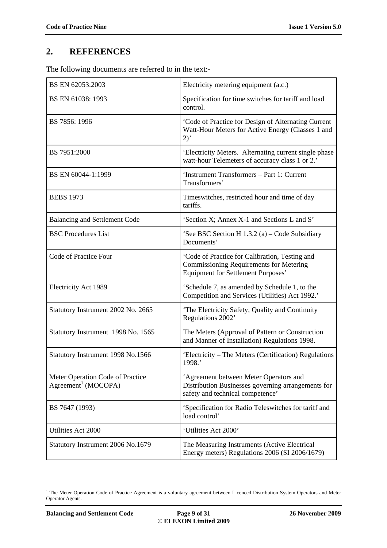# **2. REFERENCES**

The following documents are referred to in the text:-

| BS EN 62053:2003                                                    | Electricity metering equipment (a.c.)                                                                                                         |
|---------------------------------------------------------------------|-----------------------------------------------------------------------------------------------------------------------------------------------|
| BS EN 61038: 1993                                                   | Specification for time switches for tariff and load<br>control.                                                                               |
| BS 7856: 1996                                                       | 'Code of Practice for Design of Alternating Current<br>Watt-Hour Meters for Active Energy (Classes 1 and<br>2)                                |
| BS 7951:2000                                                        | 'Electricity Meters. Alternating current single phase<br>watt-hour Telemeters of accuracy class 1 or 2.'                                      |
| BS EN 60044-1:1999                                                  | 'Instrument Transformers - Part 1: Current<br>Transformers'                                                                                   |
| <b>BEBS</b> 1973                                                    | Timeswitches, restricted hour and time of day<br>tariffs.                                                                                     |
| <b>Balancing and Settlement Code</b>                                | 'Section X; Annex X-1 and Sections L and S'                                                                                                   |
| <b>BSC</b> Procedures List                                          | 'See BSC Section H $1.3.2$ (a) – Code Subsidiary<br>Documents'                                                                                |
| Code of Practice Four                                               | 'Code of Practice for Calibration, Testing and<br><b>Commissioning Requirements for Metering</b><br><b>Equipment for Settlement Purposes'</b> |
| Electricity Act 1989                                                | 'Schedule 7, as amended by Schedule 1, to the<br>Competition and Services (Utilities) Act 1992.'                                              |
| Statutory Instrument 2002 No. 2665                                  | 'The Electricity Safety, Quality and Continuity<br>Regulations 2002'                                                                          |
| Statutory Instrument 1998 No. 1565                                  | The Meters (Approval of Pattern or Construction<br>and Manner of Installation) Regulations 1998.                                              |
| Statutory Instrument 1998 No.1566                                   | 'Electricity – The Meters (Certification) Regulations<br>1998.'                                                                               |
| Meter Operation Code of Practice<br>Agreement <sup>1</sup> (MOCOPA) | 'Agreement between Meter Operators and<br>Distribution Businesses governing arrangements for<br>safety and technical competence'              |
| BS 7647 (1993)                                                      | 'Specification for Radio Teleswitches for tariff and<br>load control'                                                                         |
| Utilities Act 2000                                                  | 'Utilities Act 2000'                                                                                                                          |
| Statutory Instrument 2006 No.1679                                   | The Measuring Instruments (Active Electrical<br>Energy meters) Regulations 2006 (SI 2006/1679)                                                |

<sup>&</sup>lt;sup>1</sup> The Meter Operation Code of Practice Agreement is a voluntary agreement between Licenced Distribution System Operators and Meter Operator Agents.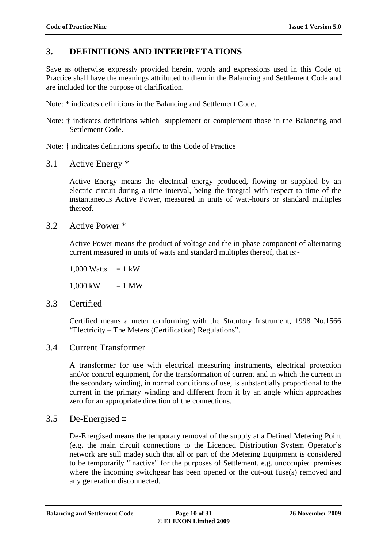## **3. DEFINITIONS AND INTERPRETATIONS**

Save as otherwise expressly provided herein, words and expressions used in this Code of Practice shall have the meanings attributed to them in the Balancing and Settlement Code and are included for the purpose of clarification.

Note: \* indicates definitions in the Balancing and Settlement Code.

Note: † indicates definitions which supplement or complement those in the Balancing and Settlement Code.

Note: ‡ indicates definitions specific to this Code of Practice

3.1 Active Energy \*

Active Energy means the electrical energy produced, flowing or supplied by an electric circuit during a time interval, being the integral with respect to time of the instantaneous Active Power, measured in units of watt-hours or standard multiples thereof.

3.2 Active Power \*

Active Power means the product of voltage and the in-phase component of alternating current measured in units of watts and standard multiples thereof, that is:-

1,000 Watts  $= 1 \text{ kW}$ 

 $1,000 \text{ kW} = 1 \text{ MW}$ 

3.3 Certified

Certified means a meter conforming with the Statutory Instrument, 1998 No.1566 "Electricity – The Meters (Certification) Regulations".

## 3.4 Current Transformer

A transformer for use with electrical measuring instruments, electrical protection and/or control equipment, for the transformation of current and in which the current in the secondary winding, in normal conditions of use, is substantially proportional to the current in the primary winding and different from it by an angle which approaches zero for an appropriate direction of the connections.

## 3.5 De-Energised ‡

De-Energised means the temporary removal of the supply at a Defined Metering Point (e.g. the main circuit connections to the Licenced Distribution System Operator's network are still made) such that all or part of the Metering Equipment is considered to be temporarily "inactive" for the purposes of Settlement. e.g. unoccupied premises where the incoming switchgear has been opened or the cut-out fuse(s) removed and any generation disconnected.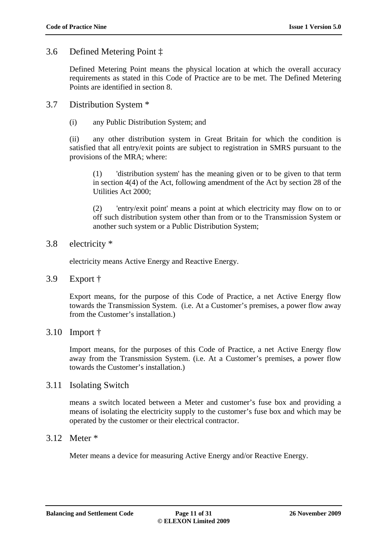## 3.6 Defined Metering Point ‡

Defined Metering Point means the physical location at which the overall accuracy requirements as stated in this Code of Practice are to be met. The Defined Metering Points are identified in section 8.

## 3.7 Distribution System \*

(i) any Public Distribution System; and

(ii) any other distribution system in Great Britain for which the condition is satisfied that all entry/exit points are subject to registration in SMRS pursuant to the provisions of the MRA; where:

(1) 'distribution system' has the meaning given or to be given to that term in section 4(4) of the Act, following amendment of the Act by section 28 of the Utilities Act 2000;

(2) 'entry/exit point' means a point at which electricity may flow on to or off such distribution system other than from or to the Transmission System or another such system or a Public Distribution System;

### 3.8 electricity \*

electricity means Active Energy and Reactive Energy.

3.9 Export †

Export means, for the purpose of this Code of Practice, a net Active Energy flow towards the Transmission System. (i.e. At a Customer's premises, a power flow away from the Customer's installation.)

### 3.10 Import †

Import means, for the purposes of this Code of Practice, a net Active Energy flow away from the Transmission System. (i.e. At a Customer's premises, a power flow towards the Customer's installation.)

### 3.11 Isolating Switch

means a switch located between a Meter and customer's fuse box and providing a means of isolating the electricity supply to the customer's fuse box and which may be operated by the customer or their electrical contractor.

### 3.12 Meter \*

Meter means a device for measuring Active Energy and/or Reactive Energy.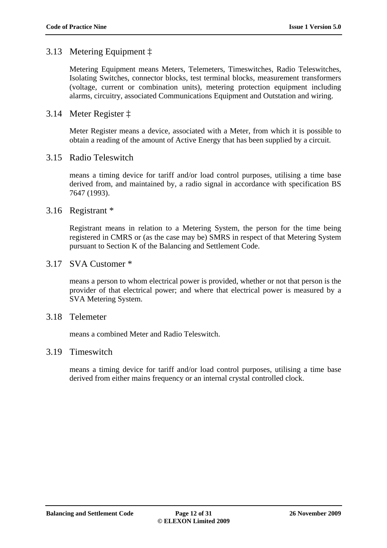## 3.13 Metering Equipment ‡

Metering Equipment means Meters, Telemeters, Timeswitches, Radio Teleswitches, Isolating Switches, connector blocks, test terminal blocks, measurement transformers (voltage, current or combination units), metering protection equipment including alarms, circuitry, associated Communications Equipment and Outstation and wiring.

## 3.14 Meter Register ‡

Meter Register means a device, associated with a Meter, from which it is possible to obtain a reading of the amount of Active Energy that has been supplied by a circuit.

### 3.15 Radio Teleswitch

means a timing device for tariff and/or load control purposes, utilising a time base derived from, and maintained by, a radio signal in accordance with specification BS 7647 (1993).

### 3.16 Registrant \*

Registrant means in relation to a Metering System, the person for the time being registered in CMRS or (as the case may be) SMRS in respect of that Metering System pursuant to Section K of the Balancing and Settlement Code.

### 3.17 SVA Customer \*

means a person to whom electrical power is provided, whether or not that person is the provider of that electrical power; and where that electrical power is measured by a SVA Metering System.

### 3.18 Telemeter

means a combined Meter and Radio Teleswitch.

### 3.19 Timeswitch

means a timing device for tariff and/or load control purposes, utilising a time base derived from either mains frequency or an internal crystal controlled clock.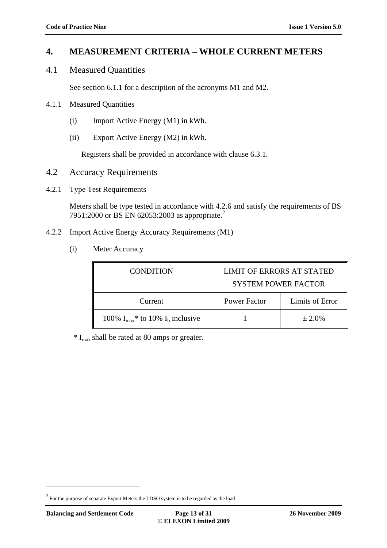## **4. MEASUREMENT CRITERIA – WHOLE CURRENT METERS**

4.1 Measured Quantities

See section 6.1.1 for a description of the acronyms M1 and M2.

- 4.1.1 Measured Quantities
	- (i) Import Active Energy (M1) in kWh.
	- (ii) Export Active Energy (M2) in kWh.

Registers shall be provided in accordance with clause 6.3.1.

- 4.2 Accuracy Requirements
- 4.2.1 Type Test Requirements

Meters shall be type tested in accordance with 4.2.6 and satisfy the requirements of BS 7951:2000 or BS EN 62053:2003 as appropriate.<sup>2</sup>

- 4.2.2 Import Active Energy Accuracy Requirements (M1)
	- (i) Meter Accuracy

| <b>CONDITION</b>                                   | <b>LIMIT OF ERRORS AT STATED</b><br><b>SYSTEM POWER FACTOR</b> |                 |
|----------------------------------------------------|----------------------------------------------------------------|-----------------|
| Current                                            | Power Factor                                                   | Limits of Error |
| 100% $I_{max}$ <sup>*</sup> to 10% $I_b$ inclusive |                                                                | $\pm 2.0\%$     |

 $*$  I<sub>max</sub> shall be rated at 80 amps or greater.

 $2^{2}$  For the purpose of separate Export Meters the LDSO system is to be regarded as the load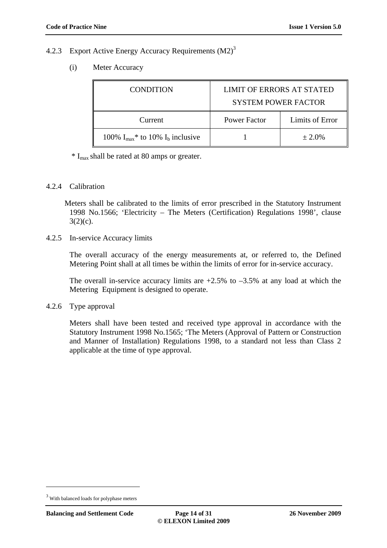### 4.2.3 Export Active Energy Accuracy Requirements (M2)<sup>3</sup>

(i) Meter Accuracy

| <b>CONDITION</b>                                   | <b>LIMIT OF ERRORS AT STATED</b><br><b>SYSTEM POWER FACTOR</b> |                 |
|----------------------------------------------------|----------------------------------------------------------------|-----------------|
| Current                                            | <b>Power Factor</b>                                            | Limits of Error |
| 100% $I_{max}$ <sup>*</sup> to 10% $I_b$ inclusive |                                                                | $\pm 2.0\%$     |

 $*$  I<sub>max</sub> shall be rated at 80 amps or greater.

#### 4.2.4 Calibration

Meters shall be calibrated to the limits of error prescribed in the Statutory Instrument 1998 No.1566; 'Electricity – The Meters (Certification) Regulations 1998', clause  $3(2)(c)$ .

4.2.5 In-service Accuracy limits

The overall accuracy of the energy measurements at, or referred to, the Defined Metering Point shall at all times be within the limits of error for in-service accuracy.

The overall in-service accuracy limits are  $+2.5\%$  to  $-3.5\%$  at any load at which the Metering Equipment is designed to operate.

4.2.6 Type approval

Meters shall have been tested and received type approval in accordance with the Statutory Instrument 1998 No.1565; 'The Meters (Approval of Pattern or Construction and Manner of Installation) Regulations 1998, to a standard not less than Class 2 applicable at the time of type approval.

<sup>&</sup>lt;sup>3</sup> With balanced loads for polyphase meters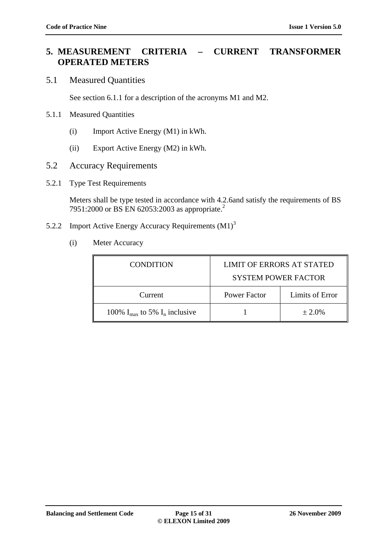## **5. MEASUREMENT CRITERIA – CURRENT TRANSFORMER OPERATED METERS**

### 5.1 Measured Quantities

See section 6.1.1 for a description of the acronyms M1 and M2.

### 5.1.1 Measured Quantities

- (i) Import Active Energy (M1) in kWh.
- (ii) Export Active Energy (M2) in kWh.
- 5.2 Accuracy Requirements
- 5.2.1 Type Test Requirements

Meters shall be type tested in accordance with 4.2.6and satisfy the requirements of BS 7951:2000 or BS EN 62053:2003 as appropriate.<sup>2</sup>

- 5.2.2 Import Active Energy Accuracy Requirements  $(M1)<sup>3</sup>$ 
	- (i) Meter Accuracy

| <b>CONDITION</b>                            | <b>LIMIT OF ERRORS AT STATED</b><br><b>SYSTEM POWER FACTOR</b> |                 |  |
|---------------------------------------------|----------------------------------------------------------------|-----------------|--|
| Current                                     | <b>Power Factor</b>                                            | Limits of Error |  |
| 100% $I_{\text{max}}$ to 5% $I_n$ inclusive |                                                                | $± 2.0\%$       |  |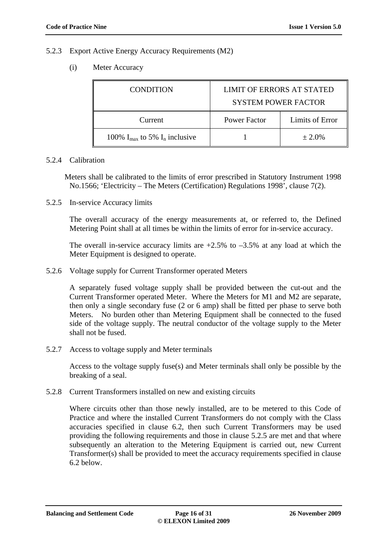#### 5.2.3 Export Active Energy Accuracy Requirements (M2)

(i) Meter Accuracy

| <b>CONDITION</b>                            | <b>LIMIT OF ERRORS AT STATED</b><br><b>SYSTEM POWER FACTOR</b> |                 |
|---------------------------------------------|----------------------------------------------------------------|-----------------|
| Current                                     | <b>Power Factor</b>                                            | Limits of Error |
| 100% $I_{\text{max}}$ to 5% $I_n$ inclusive |                                                                | $± 2.0\%$       |

#### 5.2.4 Calibration

Meters shall be calibrated to the limits of error prescribed in Statutory Instrument 1998 No.1566; 'Electricity – The Meters (Certification) Regulations 1998', clause 7(2).

5.2.5 In-service Accuracy limits

The overall accuracy of the energy measurements at, or referred to, the Defined Metering Point shall at all times be within the limits of error for in-service accuracy.

The overall in-service accuracy limits are  $+2.5\%$  to  $-3.5\%$  at any load at which the Meter Equipment is designed to operate.

5.2.6 Voltage supply for Current Transformer operated Meters

A separately fused voltage supply shall be provided between the cut-out and the Current Transformer operated Meter. Where the Meters for M1 and M2 are separate, then only a single secondary fuse (2 or 6 amp) shall be fitted per phase to serve both Meters. No burden other than Metering Equipment shall be connected to the fused side of the voltage supply. The neutral conductor of the voltage supply to the Meter shall not be fused.

5.2.7 Access to voltage supply and Meter terminals

Access to the voltage supply fuse(s) and Meter terminals shall only be possible by the breaking of a seal.

5.2.8 Current Transformers installed on new and existing circuits

Where circuits other than those newly installed, are to be metered to this Code of Practice and where the installed Current Transformers do not comply with the Class accuracies specified in clause 6.2, then such Current Transformers may be used providing the following requirements and those in clause 5.2.5 are met and that where subsequently an alteration to the Metering Equipment is carried out, new Current Transformer(s) shall be provided to meet the accuracy requirements specified in clause 6.2 below.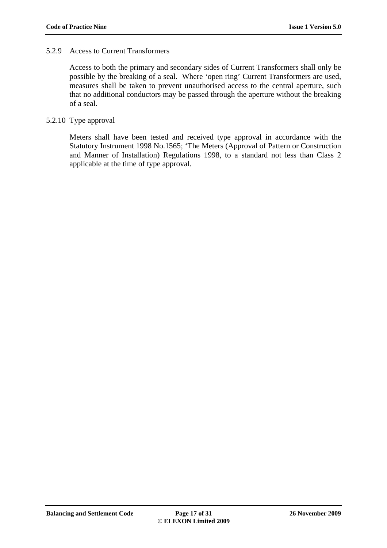### 5.2.9 Access to Current Transformers

Access to both the primary and secondary sides of Current Transformers shall only be possible by the breaking of a seal. Where 'open ring' Current Transformers are used, measures shall be taken to prevent unauthorised access to the central aperture, such that no additional conductors may be passed through the aperture without the breaking of a seal.

### 5.2.10 Type approval

Meters shall have been tested and received type approval in accordance with the Statutory Instrument 1998 No.1565; 'The Meters (Approval of Pattern or Construction and Manner of Installation) Regulations 1998, to a standard not less than Class 2 applicable at the time of type approval.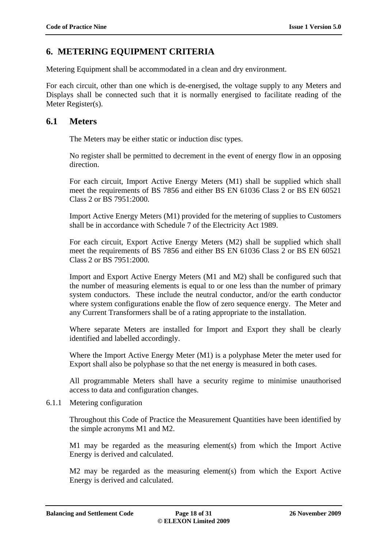## **6. METERING EQUIPMENT CRITERIA**

Metering Equipment shall be accommodated in a clean and dry environment.

For each circuit, other than one which is de-energised, the voltage supply to any Meters and Displays shall be connected such that it is normally energised to facilitate reading of the Meter Register(s).

### **6.1 Meters**

The Meters may be either static or induction disc types.

No register shall be permitted to decrement in the event of energy flow in an opposing direction.

For each circuit, Import Active Energy Meters (M1) shall be supplied which shall meet the requirements of BS 7856 and either BS EN 61036 Class 2 or BS EN 60521 Class 2 or BS 7951:2000.

Import Active Energy Meters (M1) provided for the metering of supplies to Customers shall be in accordance with Schedule 7 of the Electricity Act 1989.

For each circuit, Export Active Energy Meters (M2) shall be supplied which shall meet the requirements of BS 7856 and either BS EN 61036 Class 2 or BS EN 60521 Class 2 or BS 7951:2000.

Import and Export Active Energy Meters (M1 and M2) shall be configured such that the number of measuring elements is equal to or one less than the number of primary system conductors. These include the neutral conductor, and/or the earth conductor where system configurations enable the flow of zero sequence energy. The Meter and any Current Transformers shall be of a rating appropriate to the installation.

Where separate Meters are installed for Import and Export they shall be clearly identified and labelled accordingly.

Where the Import Active Energy Meter (M1) is a polyphase Meter the meter used for Export shall also be polyphase so that the net energy is measured in both cases.

All programmable Meters shall have a security regime to minimise unauthorised access to data and configuration changes.

6.1.1 Metering configuration

Throughout this Code of Practice the Measurement Quantities have been identified by the simple acronyms M1 and M2.

M1 may be regarded as the measuring element(s) from which the Import Active Energy is derived and calculated.

M2 may be regarded as the measuring element(s) from which the Export Active Energy is derived and calculated.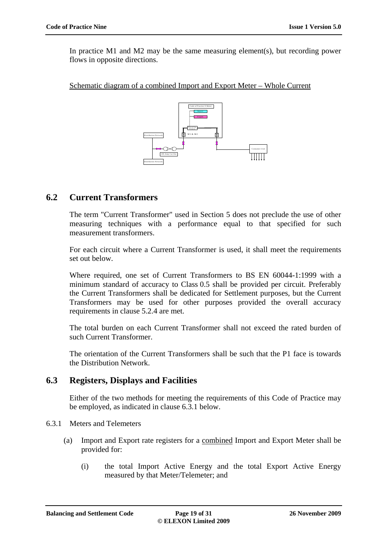In practice M1 and M2 may be the same measuring element(s), but recording power flows in opposite directions.

Schematic diagram of a combined Import and Export Meter – Whole Current



## **6.2 Current Transformers**

The term "Current Transformer" used in Section 5 does not preclude the use of other measuring techniques with a performance equal to that specified for such measurement transformers.

For each circuit where a Current Transformer is used, it shall meet the requirements set out below.

Where required, one set of Current Transformers to BS EN 60044-1:1999 with a minimum standard of accuracy to Class 0.5 shall be provided per circuit. Preferably the Current Transformers shall be dedicated for Settlement purposes, but the Current Transformers may be used for other purposes provided the overall accuracy requirements in clause 5.2.4 are met.

The total burden on each Current Transformer shall not exceed the rated burden of such Current Transformer.

The orientation of the Current Transformers shall be such that the P1 face is towards the Distribution Network.

## **6.3 Registers, Displays and Facilities**

Either of the two methods for meeting the requirements of this Code of Practice may be employed, as indicated in clause 6.3.1 below.

- 6.3.1 Meters and Telemeters
	- (a) Import and Export rate registers for a combined Import and Export Meter shall be provided for:
		- (i) the total Import Active Energy and the total Export Active Energy measured by that Meter/Telemeter; and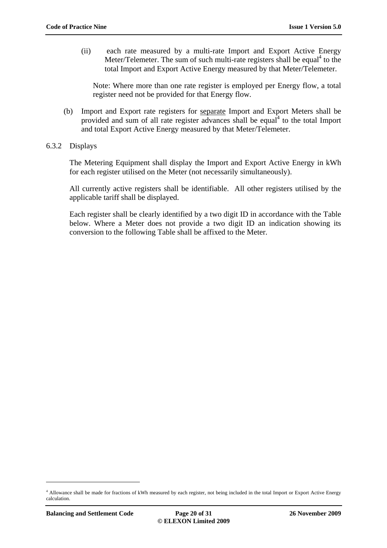(ii) each rate measured by a multi-rate Import and Export Active Energy Meter/Telemeter. The sum of such multi-rate registers shall be equal<sup>4</sup> to the total Import and Export Active Energy measured by that Meter/Telemeter.

Note: Where more than one rate register is employed per Energy flow, a total register need not be provided for that Energy flow.

(b) Import and Export rate registers for separate Import and Export Meters shall be provided and sum of all rate register advances shall be equal<sup>4</sup> to the total Import and total Export Active Energy measured by that Meter/Telemeter.

### 6.3.2 Displays

The Metering Equipment shall display the Import and Export Active Energy in kWh for each register utilised on the Meter (not necessarily simultaneously).

All currently active registers shall be identifiable. All other registers utilised by the applicable tariff shall be displayed.

Each register shall be clearly identified by a two digit ID in accordance with the Table below. Where a Meter does not provide a two digit ID an indication showing its conversion to the following Table shall be affixed to the Meter.

<sup>4</sup> Allowance shall be made for fractions of kWh measured by each register, not being included in the total Import or Export Active Energy calculation.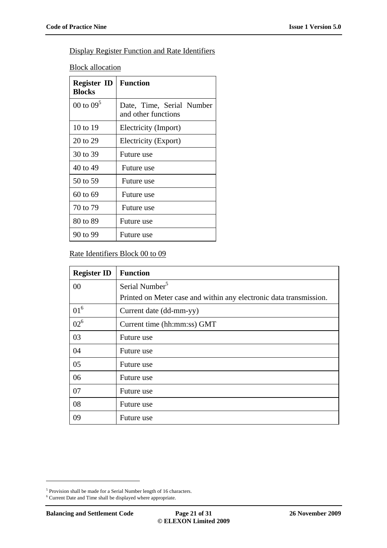## Display Register Function and Rate Identifiers

**Block allocation** 

| <b>Register ID</b><br><b>Blocks</b> | <b>Function</b>                                  |
|-------------------------------------|--------------------------------------------------|
| 00 to $09^5$                        | Date, Time, Serial Number<br>and other functions |
| $10$ to $19$                        | Electricity (Import)                             |
| 20 to 29                            | Electricity (Export)                             |
| 30 to 39                            | Future use                                       |
| 40 to 49                            | Future use                                       |
| 50 to 59                            | Future use                                       |
| 60 to 69                            | Future use                                       |
| 70 to 79                            | Future use                                       |
| 80 to 89                            | Future use                                       |
| 90 to 99                            | Future use                                       |

### Rate Identifiers Block 00 to 09

| <b>Register ID</b> | <b>Function</b>                                                    |
|--------------------|--------------------------------------------------------------------|
| 00                 | Serial Number <sup>5</sup>                                         |
|                    | Printed on Meter case and within any electronic data transmission. |
| $01^6$             | Current date (dd-mm-yy)                                            |
| $02^6$             | Current time (hh:mm:ss) GMT                                        |
| 03                 | Future use                                                         |
| 04                 | Future use                                                         |
| 05                 | Future use                                                         |
| 06                 | Future use                                                         |
| 07                 | Future use                                                         |
| 08                 | Future use                                                         |
| 09                 | Future use                                                         |

<sup>&</sup>lt;sup>5</sup> Provision shall be made for a Serial Number length of 16 characters.

<sup>6</sup> Current Date and Time shall be displayed where appropriate.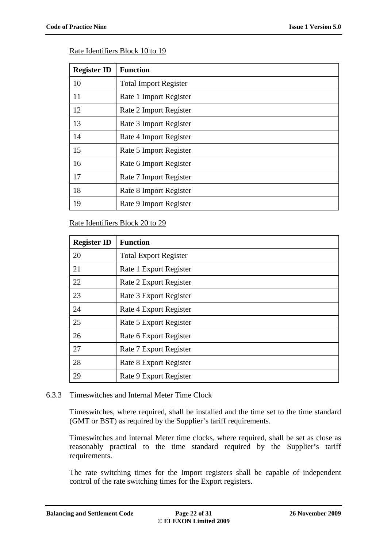### Rate Identifiers Block 10 to 19

| <b>Register ID</b> | <b>Function</b>              |
|--------------------|------------------------------|
| 10                 | <b>Total Import Register</b> |
| 11                 | Rate 1 Import Register       |
| 12                 | Rate 2 Import Register       |
| 13                 | Rate 3 Import Register       |
| 14                 | Rate 4 Import Register       |
| 15                 | Rate 5 Import Register       |
| 16                 | Rate 6 Import Register       |
| 17                 | Rate 7 Import Register       |
| 18                 | Rate 8 Import Register       |
| 19                 | Rate 9 Import Register       |

### Rate Identifiers Block 20 to 29

| <b>Register ID</b> | <b>Function</b>              |
|--------------------|------------------------------|
| 20                 | <b>Total Export Register</b> |
| 21                 | Rate 1 Export Register       |
| 22                 | Rate 2 Export Register       |
| 23                 | Rate 3 Export Register       |
| 24                 | Rate 4 Export Register       |
| 25                 | Rate 5 Export Register       |
| 26                 | Rate 6 Export Register       |
| 27                 | Rate 7 Export Register       |
| 28                 | Rate 8 Export Register       |
| 29                 | Rate 9 Export Register       |

### 6.3.3 Timeswitches and Internal Meter Time Clock

Timeswitches, where required, shall be installed and the time set to the time standard (GMT or BST) as required by the Supplier's tariff requirements.

Timeswitches and internal Meter time clocks, where required, shall be set as close as reasonably practical to the time standard required by the Supplier's tariff requirements.

The rate switching times for the Import registers shall be capable of independent control of the rate switching times for the Export registers.

**Balancing and Settlement Code Page 22 of 31 26 November 2009**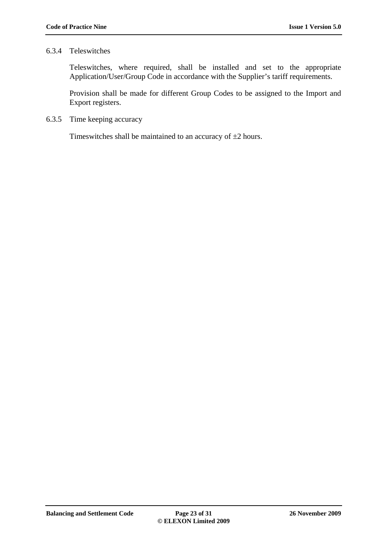### 6.3.4 Teleswitches

Teleswitches, where required, shall be installed and set to the appropriate Application/User/Group Code in accordance with the Supplier's tariff requirements.

Provision shall be made for different Group Codes to be assigned to the Import and Export registers.

6.3.5 Time keeping accuracy

Timeswitches shall be maintained to an accuracy of  $\pm 2$  hours.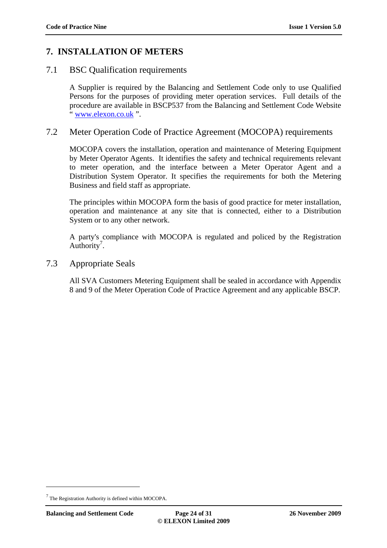## **7. INSTALLATION OF METERS**

## 7.1 BSC Qualification requirements

A Supplier is required by the Balancing and Settlement Code only to use Qualified Persons for the purposes of providing meter operation services. Full details of the procedure are available in BSCP537 from the Balancing and Settlement Code Website www.elexon.co.uk".

## 7.2 Meter Operation Code of Practice Agreement (MOCOPA) requirements

MOCOPA covers the installation, operation and maintenance of Metering Equipment by Meter Operator Agents. It identifies the safety and technical requirements relevant to meter operation, and the interface between a Meter Operator Agent and a Distribution System Operator. It specifies the requirements for both the Metering Business and field staff as appropriate.

The principles within MOCOPA form the basis of good practice for meter installation, operation and maintenance at any site that is connected, either to a Distribution System or to any other network.

A party's compliance with MOCOPA is regulated and policed by the Registration Authority<sup>7</sup>.

7.3 Appropriate Seals

All SVA Customers Metering Equipment shall be sealed in accordance with Appendix 8 and 9 of the Meter Operation Code of Practice Agreement and any applicable BSCP.

<sup>&</sup>lt;sup>7</sup> The Registration Authority is defined within MOCOPA.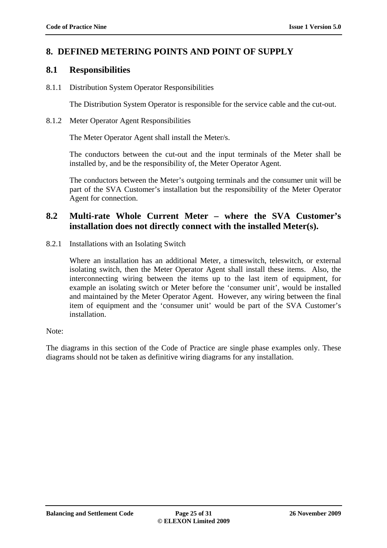## **8. DEFINED METERING POINTS AND POINT OF SUPPLY**

### **8.1 Responsibilities**

8.1.1 Distribution System Operator Responsibilities

The Distribution System Operator is responsible for the service cable and the cut-out.

8.1.2 Meter Operator Agent Responsibilities

The Meter Operator Agent shall install the Meter/s.

The conductors between the cut-out and the input terminals of the Meter shall be installed by, and be the responsibility of, the Meter Operator Agent.

The conductors between the Meter's outgoing terminals and the consumer unit will be part of the SVA Customer's installation but the responsibility of the Meter Operator Agent for connection.

## **8.2 Multi-rate Whole Current Meter – where the SVA Customer's installation does not directly connect with the installed Meter(s).**

8.2.1 Installations with an Isolating Switch

Where an installation has an additional Meter, a timeswitch, teleswitch, or external isolating switch, then the Meter Operator Agent shall install these items. Also, the interconnecting wiring between the items up to the last item of equipment, for example an isolating switch or Meter before the 'consumer unit', would be installed and maintained by the Meter Operator Agent. However, any wiring between the final item of equipment and the 'consumer unit' would be part of the SVA Customer's installation.

Note:

The diagrams in this section of the Code of Practice are single phase examples only. These diagrams should not be taken as definitive wiring diagrams for any installation.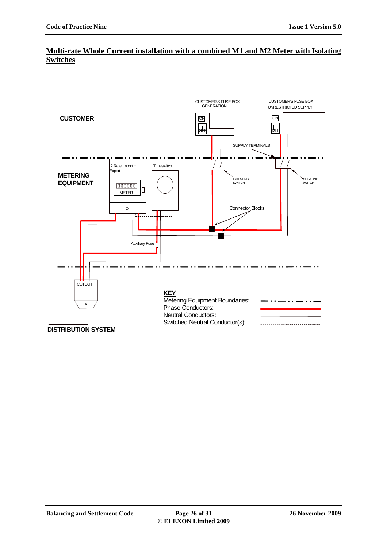## **Multi-rate Whole Current installation with a combined M1 and M2 Meter with Isolating Switches**

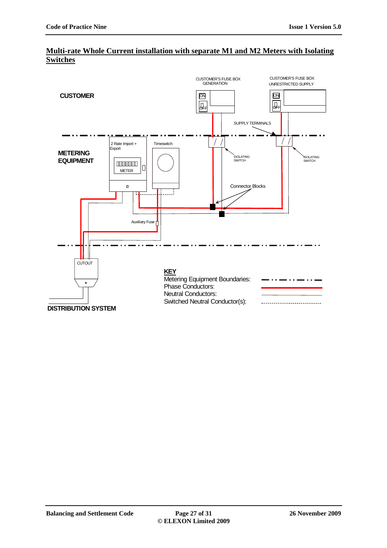

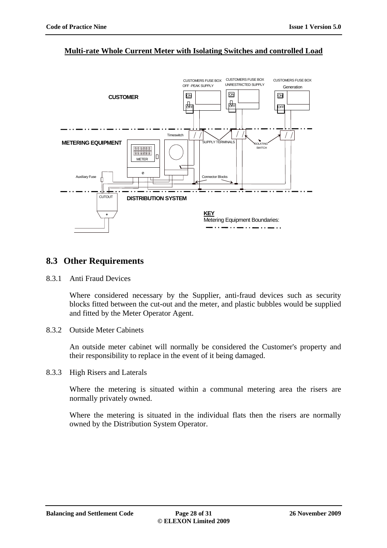#### CUSTOMERS FUSE BOX CUSTOMERS FUSE BOX CUSTOMERS FUSE BOX UNRESTRICTED SUPPLYOFF -PEAK SUPPLY Generation ON ON **ON CUSTOMER**   $\frac{1}{\text{OFF}}$ OFF **OFF**  $\vert \vert$ Timeswitch .<br>RMINALS **METERING EQUIPMENT** ISOLATING <u>888888</u><br>888888 **SWITCH** Iг METER  $\circ$ Auxiliary Fuse Connector Blocks **CUTOUT DISTRIBUTION SYSTEM KEY**  $\bullet$ Metering Equipment Boundaries:

### **Multi-rate Whole Current Meter with Isolating Switches and controlled Load**

## **8.3 Other Requirements**

8.3.1 Anti Fraud Devices

Where considered necessary by the Supplier, anti-fraud devices such as security blocks fitted between the cut-out and the meter, and plastic bubbles would be supplied and fitted by the Meter Operator Agent.

8.3.2 Outside Meter Cabinets

An outside meter cabinet will normally be considered the Customer's property and their responsibility to replace in the event of it being damaged.

8.3.3 High Risers and Laterals

Where the metering is situated within a communal metering area the risers are normally privately owned.

Where the metering is situated in the individual flats then the risers are normally owned by the Distribution System Operator.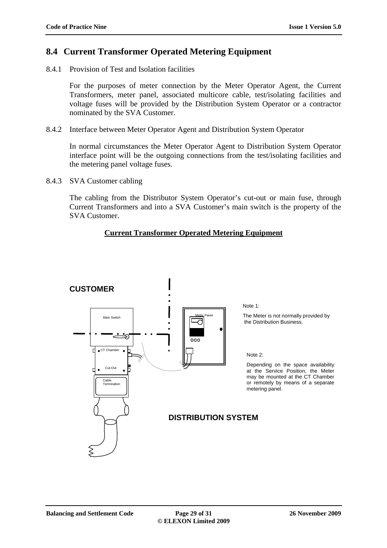## **8.4 Current Transformer Operated Metering Equipment**

8.4.1 Provision of Test and Isolation facilities

For the purposes of meter connection by the Meter Operator Agent, the Current Transformers, meter panel, associated multicore cable, test/isolating facilities and voltage fuses will be provided by the Distribution System Operator or a contractor nominated by the SVA Customer.

8.4.2 Interface between Meter Operator Agent and Distribution System Operator

In normal circumstances the Meter Operator Agent to Distribution System Operator interface point will be the outgoing connections from the test/isolating facilities and the metering panel voltage fuses.

8.4.3 SVA Customer cabling

The cabling from the Distributor System Operator's cut-out or main fuse, through Current Transformers and into a SVA Customer's main switch is the property of the SVA Customer.

### **Current Transformer Operated Metering Equipment**

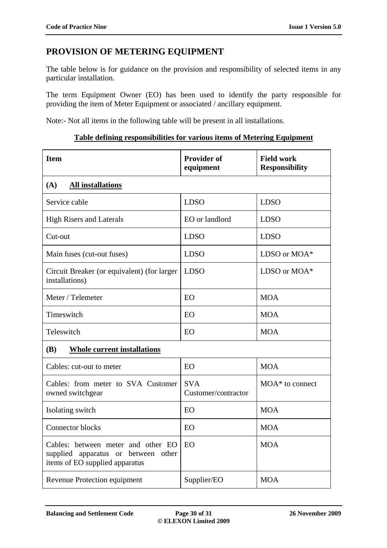## **PROVISION OF METERING EQUIPMENT**

The table below is for guidance on the provision and responsibility of selected items in any particular installation.

The term Equipment Owner (EO) has been used to identify the party responsible for providing the item of Meter Equipment or associated / ancillary equipment.

Note:- Not all items in the following table will be present in all installations.

### **Table defining responsibilities for various items of Metering Equipment**

| <b>Item</b>                                                                                                    | <b>Provider of</b><br>equipment   | <b>Field work</b><br><b>Responsibility</b> |  |  |
|----------------------------------------------------------------------------------------------------------------|-----------------------------------|--------------------------------------------|--|--|
| (A)<br><b>All installations</b>                                                                                |                                   |                                            |  |  |
| Service cable                                                                                                  | <b>LDSO</b>                       | <b>LDSO</b>                                |  |  |
| <b>High Risers and Laterals</b>                                                                                | EO or landlord                    | <b>LDSO</b>                                |  |  |
| Cut-out                                                                                                        | <b>LDSO</b>                       | <b>LDSO</b>                                |  |  |
| Main fuses (cut-out fuses)                                                                                     | <b>LDSO</b>                       | LDSO or MOA*                               |  |  |
| Circuit Breaker (or equivalent) (for larger<br>installations)                                                  | <b>LDSO</b>                       | LDSO or MOA*                               |  |  |
| Meter / Telemeter                                                                                              | EO                                | <b>MOA</b>                                 |  |  |
| Timeswitch                                                                                                     | EO                                | <b>MOA</b>                                 |  |  |
| Teleswitch                                                                                                     | EO                                | <b>MOA</b>                                 |  |  |
| <b>(B)</b><br><b>Whole current installations</b>                                                               |                                   |                                            |  |  |
| Cables: cut-out to meter                                                                                       | EO                                | <b>MOA</b>                                 |  |  |
| Cables: from meter to SVA Customer<br>owned switchgear                                                         | <b>SVA</b><br>Customer/contractor | MOA <sup>*</sup> to connect                |  |  |
| Isolating switch                                                                                               | EO                                | <b>MOA</b>                                 |  |  |
| <b>Connector blocks</b>                                                                                        | EO                                | <b>MOA</b>                                 |  |  |
| Cables: between meter and other EO<br>supplied apparatus or<br>between other<br>items of EO supplied apparatus | EO                                | <b>MOA</b>                                 |  |  |
| Revenue Protection equipment                                                                                   | Supplier/EO                       | <b>MOA</b>                                 |  |  |